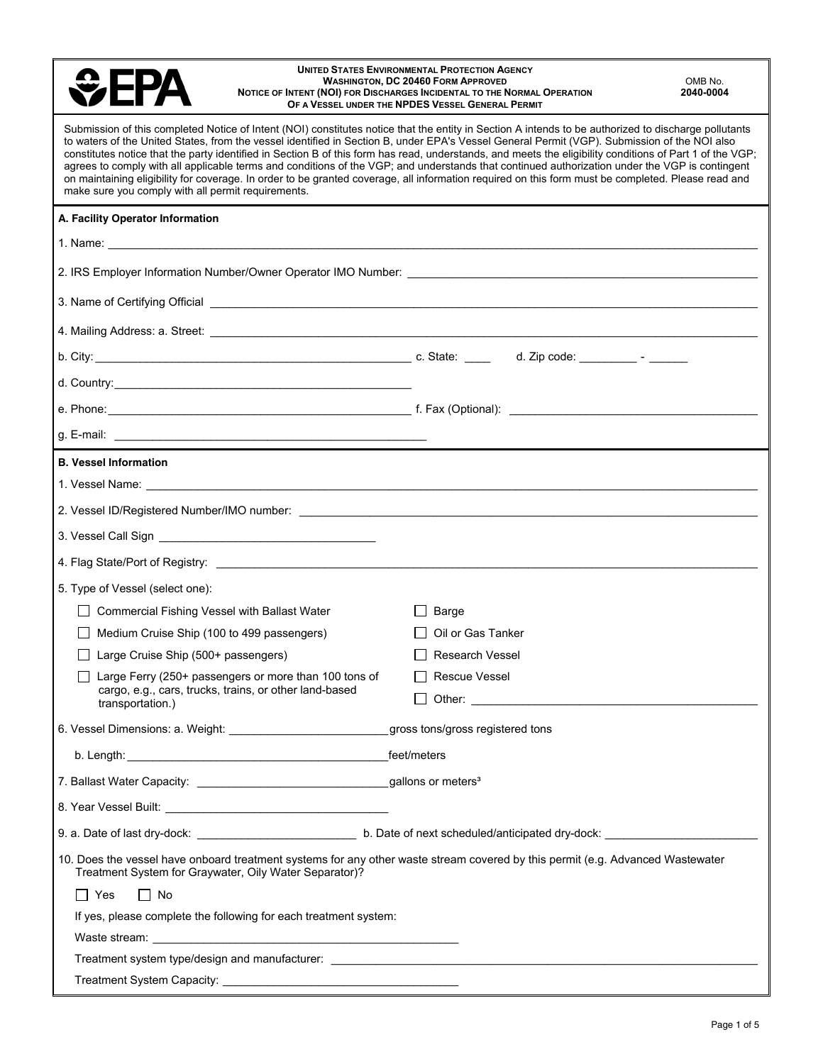| <b>UNITED STATES ENVIRONMENTAL PROTECTION AGENCY</b><br><b>WASHINGTON, DC 20460 FORM APPROVED</b><br>OMB No.<br>2040-0004<br>NOTICE OF INTENT (NOI) FOR DISCHARGES INCIDENTAL TO THE NORMAL OPERATION<br>OF A VESSEL UNDER THE NPDES VESSEL GENERAL PERMIT                                                                                                                                                                                                                                                                                                                                                                                                                                                                                                                                                                     |                                                                                                                                                                                                                                |  |  |
|--------------------------------------------------------------------------------------------------------------------------------------------------------------------------------------------------------------------------------------------------------------------------------------------------------------------------------------------------------------------------------------------------------------------------------------------------------------------------------------------------------------------------------------------------------------------------------------------------------------------------------------------------------------------------------------------------------------------------------------------------------------------------------------------------------------------------------|--------------------------------------------------------------------------------------------------------------------------------------------------------------------------------------------------------------------------------|--|--|
| Submission of this completed Notice of Intent (NOI) constitutes notice that the entity in Section A intends to be authorized to discharge pollutants<br>to waters of the United States, from the vessel identified in Section B, under EPA's Vessel General Permit (VGP). Submission of the NOI also<br>constitutes notice that the party identified in Section B of this form has read, understands, and meets the eligibility conditions of Part 1 of the VGP;<br>agrees to comply with all applicable terms and conditions of the VGP; and understands that continued authorization under the VGP is contingent<br>on maintaining eligibility for coverage. In order to be granted coverage, all information required on this form must be completed. Please read and<br>make sure you comply with all permit requirements. |                                                                                                                                                                                                                                |  |  |
| A. Facility Operator Information                                                                                                                                                                                                                                                                                                                                                                                                                                                                                                                                                                                                                                                                                                                                                                                               |                                                                                                                                                                                                                                |  |  |
|                                                                                                                                                                                                                                                                                                                                                                                                                                                                                                                                                                                                                                                                                                                                                                                                                                |                                                                                                                                                                                                                                |  |  |
|                                                                                                                                                                                                                                                                                                                                                                                                                                                                                                                                                                                                                                                                                                                                                                                                                                |                                                                                                                                                                                                                                |  |  |
|                                                                                                                                                                                                                                                                                                                                                                                                                                                                                                                                                                                                                                                                                                                                                                                                                                |                                                                                                                                                                                                                                |  |  |
|                                                                                                                                                                                                                                                                                                                                                                                                                                                                                                                                                                                                                                                                                                                                                                                                                                |                                                                                                                                                                                                                                |  |  |
|                                                                                                                                                                                                                                                                                                                                                                                                                                                                                                                                                                                                                                                                                                                                                                                                                                |                                                                                                                                                                                                                                |  |  |
|                                                                                                                                                                                                                                                                                                                                                                                                                                                                                                                                                                                                                                                                                                                                                                                                                                |                                                                                                                                                                                                                                |  |  |
|                                                                                                                                                                                                                                                                                                                                                                                                                                                                                                                                                                                                                                                                                                                                                                                                                                |                                                                                                                                                                                                                                |  |  |
|                                                                                                                                                                                                                                                                                                                                                                                                                                                                                                                                                                                                                                                                                                                                                                                                                                |                                                                                                                                                                                                                                |  |  |
| <b>B. Vessel Information</b>                                                                                                                                                                                                                                                                                                                                                                                                                                                                                                                                                                                                                                                                                                                                                                                                   |                                                                                                                                                                                                                                |  |  |
|                                                                                                                                                                                                                                                                                                                                                                                                                                                                                                                                                                                                                                                                                                                                                                                                                                |                                                                                                                                                                                                                                |  |  |
|                                                                                                                                                                                                                                                                                                                                                                                                                                                                                                                                                                                                                                                                                                                                                                                                                                |                                                                                                                                                                                                                                |  |  |
|                                                                                                                                                                                                                                                                                                                                                                                                                                                                                                                                                                                                                                                                                                                                                                                                                                |                                                                                                                                                                                                                                |  |  |
|                                                                                                                                                                                                                                                                                                                                                                                                                                                                                                                                                                                                                                                                                                                                                                                                                                |                                                                                                                                                                                                                                |  |  |
| 5. Type of Vessel (select one):                                                                                                                                                                                                                                                                                                                                                                                                                                                                                                                                                                                                                                                                                                                                                                                                |                                                                                                                                                                                                                                |  |  |
| Commercial Fishing Vessel with Ballast Water                                                                                                                                                                                                                                                                                                                                                                                                                                                                                                                                                                                                                                                                                                                                                                                   | Barge                                                                                                                                                                                                                          |  |  |
| Medium Cruise Ship (100 to 499 passengers)                                                                                                                                                                                                                                                                                                                                                                                                                                                                                                                                                                                                                                                                                                                                                                                     | Oil or Gas Tanker                                                                                                                                                                                                              |  |  |
| Large Cruise Ship (500+ passengers)<br>$\mathsf{L}$                                                                                                                                                                                                                                                                                                                                                                                                                                                                                                                                                                                                                                                                                                                                                                            | <b>Research Vessel</b>                                                                                                                                                                                                         |  |  |
| Large Ferry (250+ passengers or more than 100 tons of                                                                                                                                                                                                                                                                                                                                                                                                                                                                                                                                                                                                                                                                                                                                                                          | <b>Rescue Vessel</b>                                                                                                                                                                                                           |  |  |
| cargo, e.g., cars, trucks, trains, or other land-based<br>transportation.)                                                                                                                                                                                                                                                                                                                                                                                                                                                                                                                                                                                                                                                                                                                                                     | Other: the contract of the contract of the contract of the contract of the contract of the contract of the contract of the contract of the contract of the contract of the contract of the contract of the contract of the con |  |  |
| 6. Vessel Dimensions: a. Weight: _______________________________gross tons/gross registered tons                                                                                                                                                                                                                                                                                                                                                                                                                                                                                                                                                                                                                                                                                                                               |                                                                                                                                                                                                                                |  |  |
|                                                                                                                                                                                                                                                                                                                                                                                                                                                                                                                                                                                                                                                                                                                                                                                                                                |                                                                                                                                                                                                                                |  |  |
|                                                                                                                                                                                                                                                                                                                                                                                                                                                                                                                                                                                                                                                                                                                                                                                                                                |                                                                                                                                                                                                                                |  |  |
|                                                                                                                                                                                                                                                                                                                                                                                                                                                                                                                                                                                                                                                                                                                                                                                                                                |                                                                                                                                                                                                                                |  |  |
|                                                                                                                                                                                                                                                                                                                                                                                                                                                                                                                                                                                                                                                                                                                                                                                                                                |                                                                                                                                                                                                                                |  |  |
| Treatment System for Graywater, Oily Water Separator)?                                                                                                                                                                                                                                                                                                                                                                                                                                                                                                                                                                                                                                                                                                                                                                         | 10. Does the vessel have onboard treatment systems for any other waste stream covered by this permit (e.g. Advanced Wastewater                                                                                                 |  |  |
| $\Box$ Yes<br>$\Box$ No                                                                                                                                                                                                                                                                                                                                                                                                                                                                                                                                                                                                                                                                                                                                                                                                        |                                                                                                                                                                                                                                |  |  |
| If yes, please complete the following for each treatment system:                                                                                                                                                                                                                                                                                                                                                                                                                                                                                                                                                                                                                                                                                                                                                               |                                                                                                                                                                                                                                |  |  |
|                                                                                                                                                                                                                                                                                                                                                                                                                                                                                                                                                                                                                                                                                                                                                                                                                                |                                                                                                                                                                                                                                |  |  |
|                                                                                                                                                                                                                                                                                                                                                                                                                                                                                                                                                                                                                                                                                                                                                                                                                                |                                                                                                                                                                                                                                |  |  |
|                                                                                                                                                                                                                                                                                                                                                                                                                                                                                                                                                                                                                                                                                                                                                                                                                                |                                                                                                                                                                                                                                |  |  |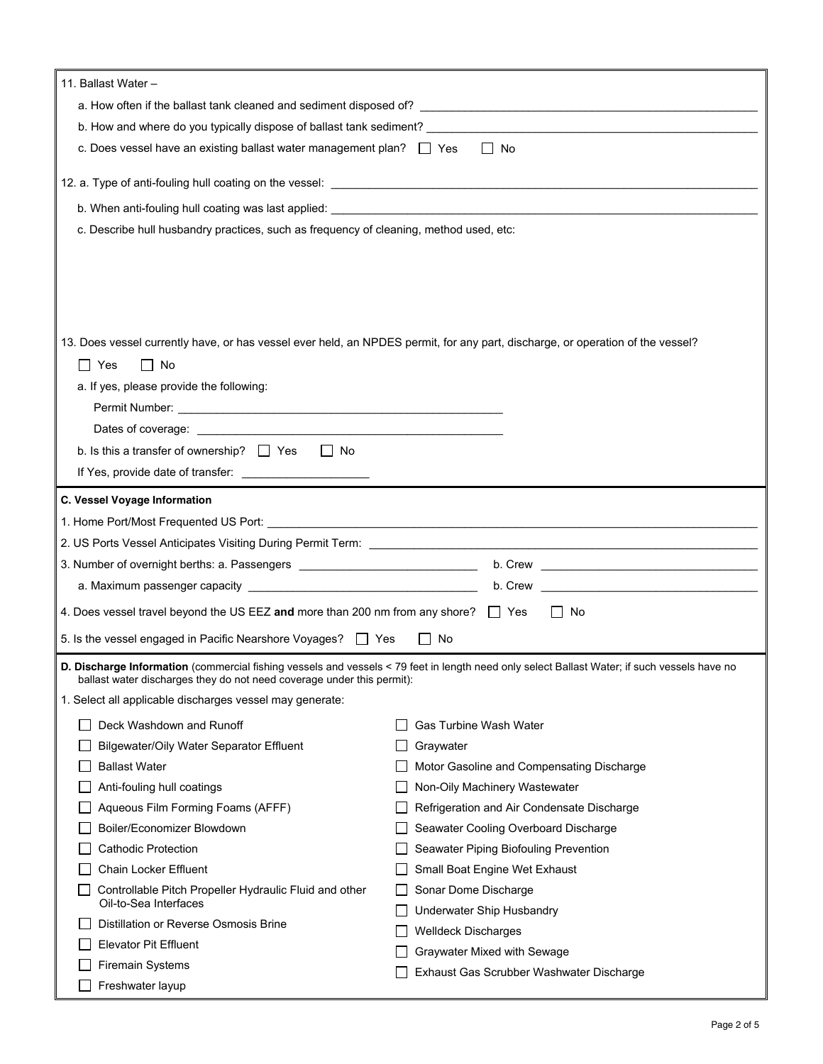| 11. Ballast Water -                                                                                                            |                                                                                                                                                                                                                                |  |
|--------------------------------------------------------------------------------------------------------------------------------|--------------------------------------------------------------------------------------------------------------------------------------------------------------------------------------------------------------------------------|--|
|                                                                                                                                |                                                                                                                                                                                                                                |  |
|                                                                                                                                |                                                                                                                                                                                                                                |  |
| c. Does vessel have an existing ballast water management plan? $\Box$ Yes<br>$\Box$ No                                         |                                                                                                                                                                                                                                |  |
|                                                                                                                                |                                                                                                                                                                                                                                |  |
|                                                                                                                                |                                                                                                                                                                                                                                |  |
| c. Describe hull husbandry practices, such as frequency of cleaning, method used, etc:                                         |                                                                                                                                                                                                                                |  |
|                                                                                                                                |                                                                                                                                                                                                                                |  |
|                                                                                                                                |                                                                                                                                                                                                                                |  |
|                                                                                                                                |                                                                                                                                                                                                                                |  |
|                                                                                                                                |                                                                                                                                                                                                                                |  |
| 13. Does vessel currently have, or has vessel ever held, an NPDES permit, for any part, discharge, or operation of the vessel? |                                                                                                                                                                                                                                |  |
| $\Box$ Yes<br>$\Box$ No                                                                                                        |                                                                                                                                                                                                                                |  |
| a. If yes, please provide the following:                                                                                       |                                                                                                                                                                                                                                |  |
|                                                                                                                                |                                                                                                                                                                                                                                |  |
|                                                                                                                                |                                                                                                                                                                                                                                |  |
| b. Is this a transfer of ownership? $\Box$ Yes<br>$\Box$ No                                                                    |                                                                                                                                                                                                                                |  |
| If Yes, provide date of transfer: _______________________                                                                      |                                                                                                                                                                                                                                |  |
|                                                                                                                                |                                                                                                                                                                                                                                |  |
| C. Vessel Voyage Information                                                                                                   |                                                                                                                                                                                                                                |  |
|                                                                                                                                |                                                                                                                                                                                                                                |  |
|                                                                                                                                |                                                                                                                                                                                                                                |  |
|                                                                                                                                |                                                                                                                                                                                                                                |  |
|                                                                                                                                | b. Crew experience and the contract of the contract of the contract of the contract of the contract of the contract of the contract of the contract of the contract of the contract of the contract of the contract of the con |  |
| 4. Does vessel travel beyond the US EEZ and more than 200 nm from any shore? $\Box$ Yes                                        | No                                                                                                                                                                                                                             |  |
| 5. Is the vessel engaged in Pacific Nearshore Voyages?   Yes                                                                   | $\Box$ No                                                                                                                                                                                                                      |  |
| ballast water discharges they do not need coverage under this permit):                                                         | D. Discharge Information (commercial fishing vessels and vessels < 79 feet in length need only select Ballast Water; if such vessels have no                                                                                   |  |
| 1. Select all applicable discharges vessel may generate:                                                                       |                                                                                                                                                                                                                                |  |
| Deck Washdown and Runoff                                                                                                       | <b>Gas Turbine Wash Water</b>                                                                                                                                                                                                  |  |
| Bilgewater/Oily Water Separator Effluent                                                                                       | Graywater                                                                                                                                                                                                                      |  |
| <b>Ballast Water</b>                                                                                                           | Motor Gasoline and Compensating Discharge                                                                                                                                                                                      |  |
| Anti-fouling hull coatings                                                                                                     | Non-Oily Machinery Wastewater                                                                                                                                                                                                  |  |
| Aqueous Film Forming Foams (AFFF)                                                                                              | Refrigeration and Air Condensate Discharge                                                                                                                                                                                     |  |
| Boiler/Economizer Blowdown                                                                                                     | Seawater Cooling Overboard Discharge                                                                                                                                                                                           |  |
| <b>Cathodic Protection</b>                                                                                                     | Seawater Piping Biofouling Prevention                                                                                                                                                                                          |  |
| Chain Locker Effluent                                                                                                          | Small Boat Engine Wet Exhaust                                                                                                                                                                                                  |  |
| Controllable Pitch Propeller Hydraulic Fluid and other<br>Oil-to-Sea Interfaces                                                | Sonar Dome Discharge<br>Underwater Ship Husbandry                                                                                                                                                                              |  |
| Distillation or Reverse Osmosis Brine                                                                                          |                                                                                                                                                                                                                                |  |
| <b>Elevator Pit Effluent</b>                                                                                                   | <b>Welldeck Discharges</b><br>Graywater Mixed with Sewage                                                                                                                                                                      |  |
| <b>Firemain Systems</b>                                                                                                        | Exhaust Gas Scrubber Washwater Discharge                                                                                                                                                                                       |  |
| Freshwater layup                                                                                                               |                                                                                                                                                                                                                                |  |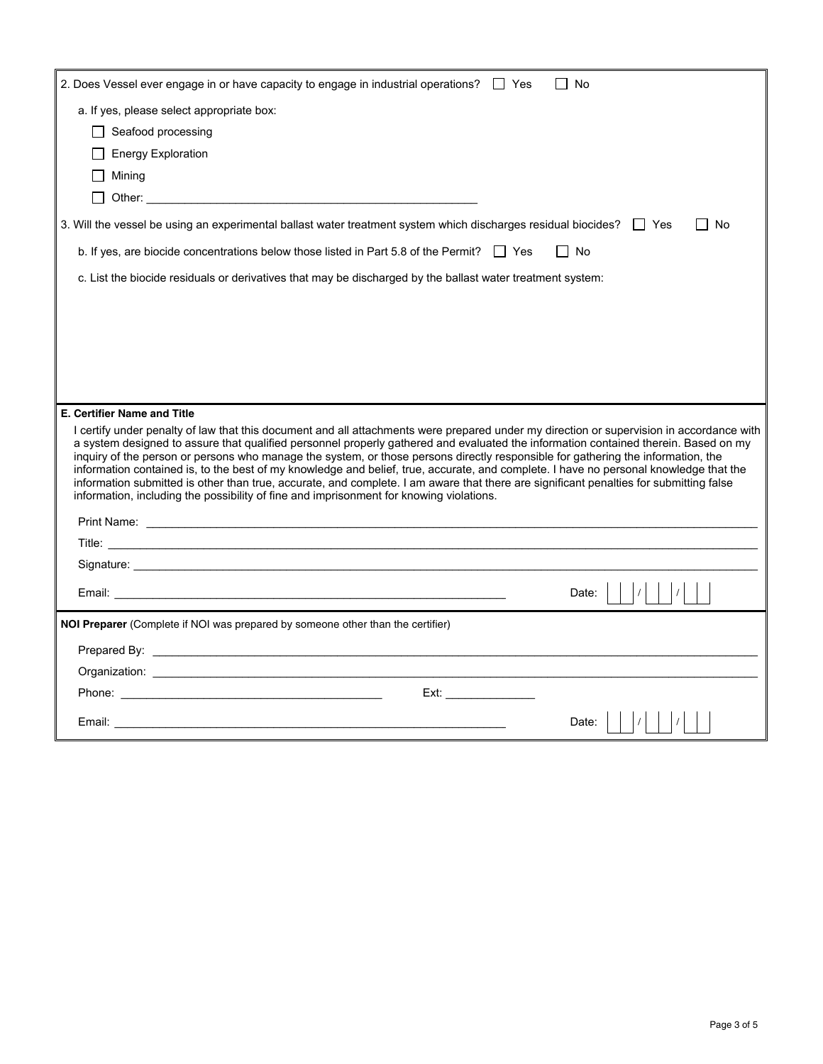| 2. Does Vessel ever engage in or have capacity to engage in industrial operations? $\Box$ Yes<br>No<br>$\mathbf{I}$                                                                                                                                                                                                                                                                                                                                                                                                                                                                                                                                                                                                                                                                               |
|---------------------------------------------------------------------------------------------------------------------------------------------------------------------------------------------------------------------------------------------------------------------------------------------------------------------------------------------------------------------------------------------------------------------------------------------------------------------------------------------------------------------------------------------------------------------------------------------------------------------------------------------------------------------------------------------------------------------------------------------------------------------------------------------------|
| a. If yes, please select appropriate box:                                                                                                                                                                                                                                                                                                                                                                                                                                                                                                                                                                                                                                                                                                                                                         |
| $\Box$ Seafood processing                                                                                                                                                                                                                                                                                                                                                                                                                                                                                                                                                                                                                                                                                                                                                                         |
| <b>Energy Exploration</b>                                                                                                                                                                                                                                                                                                                                                                                                                                                                                                                                                                                                                                                                                                                                                                         |
| Mining                                                                                                                                                                                                                                                                                                                                                                                                                                                                                                                                                                                                                                                                                                                                                                                            |
|                                                                                                                                                                                                                                                                                                                                                                                                                                                                                                                                                                                                                                                                                                                                                                                                   |
| 3. Will the vessel be using an experimental ballast water treatment system which discharges residual biocides? These<br>l I No                                                                                                                                                                                                                                                                                                                                                                                                                                                                                                                                                                                                                                                                    |
| b. If yes, are biocide concentrations below those listed in Part 5.8 of the Permit? $\Box$ Yes<br>    No                                                                                                                                                                                                                                                                                                                                                                                                                                                                                                                                                                                                                                                                                          |
| c. List the biocide residuals or derivatives that may be discharged by the ballast water treatment system:                                                                                                                                                                                                                                                                                                                                                                                                                                                                                                                                                                                                                                                                                        |
|                                                                                                                                                                                                                                                                                                                                                                                                                                                                                                                                                                                                                                                                                                                                                                                                   |
|                                                                                                                                                                                                                                                                                                                                                                                                                                                                                                                                                                                                                                                                                                                                                                                                   |
|                                                                                                                                                                                                                                                                                                                                                                                                                                                                                                                                                                                                                                                                                                                                                                                                   |
|                                                                                                                                                                                                                                                                                                                                                                                                                                                                                                                                                                                                                                                                                                                                                                                                   |
|                                                                                                                                                                                                                                                                                                                                                                                                                                                                                                                                                                                                                                                                                                                                                                                                   |
| <b>E. Certifier Name and Title</b>                                                                                                                                                                                                                                                                                                                                                                                                                                                                                                                                                                                                                                                                                                                                                                |
| I certify under penalty of law that this document and all attachments were prepared under my direction or supervision in accordance with<br>a system designed to assure that qualified personnel properly gathered and evaluated the information contained therein. Based on my<br>inquiry of the person or persons who manage the system, or those persons directly responsible for gathering the information, the<br>information contained is, to the best of my knowledge and belief, true, accurate, and complete. I have no personal knowledge that the<br>information submitted is other than true, accurate, and complete. I am aware that there are significant penalties for submitting false<br>information, including the possibility of fine and imprisonment for knowing violations. |
|                                                                                                                                                                                                                                                                                                                                                                                                                                                                                                                                                                                                                                                                                                                                                                                                   |
|                                                                                                                                                                                                                                                                                                                                                                                                                                                                                                                                                                                                                                                                                                                                                                                                   |
|                                                                                                                                                                                                                                                                                                                                                                                                                                                                                                                                                                                                                                                                                                                                                                                                   |
| Date:<br>Email: <b>Email:</b> All and All and All and All and All and All and All and All and All and All and All and All and A                                                                                                                                                                                                                                                                                                                                                                                                                                                                                                                                                                                                                                                                   |
| <b>NOI Preparer</b> (Complete if NOI was prepared by someone other than the certifier)                                                                                                                                                                                                                                                                                                                                                                                                                                                                                                                                                                                                                                                                                                            |
|                                                                                                                                                                                                                                                                                                                                                                                                                                                                                                                                                                                                                                                                                                                                                                                                   |
|                                                                                                                                                                                                                                                                                                                                                                                                                                                                                                                                                                                                                                                                                                                                                                                                   |
| Ext:<br><b>Phone:</b> Phone: The contract of the contract of the contract of the contract of the contract of the contract of the contract of the contract of the contract of the contract of the contract of the contract of the contract o                                                                                                                                                                                                                                                                                                                                                                                                                                                                                                                                                       |
| Date:                                                                                                                                                                                                                                                                                                                                                                                                                                                                                                                                                                                                                                                                                                                                                                                             |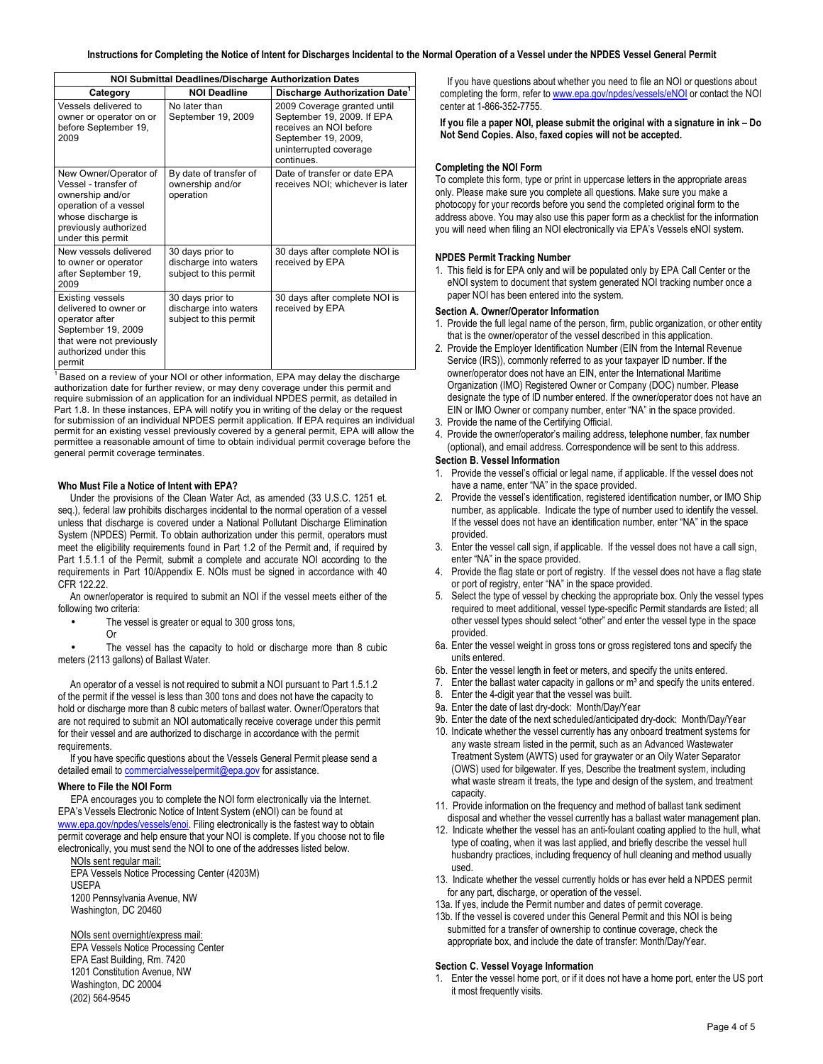| <b>NOI Submittal Deadlines/Discharge Authorization Dates</b>                                                                                                   |                                                                     |                                                                                                                                                    |  |
|----------------------------------------------------------------------------------------------------------------------------------------------------------------|---------------------------------------------------------------------|----------------------------------------------------------------------------------------------------------------------------------------------------|--|
| Category                                                                                                                                                       | <b>NOI Deadline</b>                                                 | Discharge Authorization Date <sup>1</sup>                                                                                                          |  |
| Vessels delivered to<br>owner or operator on or<br>before September 19,<br>2009                                                                                | No later than<br>September 19, 2009                                 | 2009 Coverage granted until<br>September 19, 2009. If EPA<br>receives an NOI before<br>September 19, 2009,<br>uninterrupted coverage<br>continues. |  |
| New Owner/Operator of<br>Vessel - transfer of<br>ownership and/or<br>operation of a vessel<br>whose discharge is<br>previously authorized<br>under this permit | By date of transfer of<br>ownership and/or<br>operation             | Date of transfer or date EPA<br>receives NOI; whichever is later                                                                                   |  |
| New vessels delivered<br>to owner or operator<br>after September 19,<br>2009                                                                                   | 30 days prior to<br>discharge into waters<br>subject to this permit | 30 days after complete NOI is<br>received by EPA                                                                                                   |  |
| <b>Existing vessels</b><br>delivered to owner or<br>operator after<br>September 19, 2009<br>that were not previously<br>authorized under this<br>permit        | 30 days prior to<br>discharge into waters<br>subject to this permit | 30 days after complete NOI is<br>received by EPA                                                                                                   |  |

 $1$  Based on a review of your NOI or other information, EPA may delay the discharge authorization date for further review, or may deny coverage under this permit and require submission of an application for an individual NPDES permit, as detailed in Part 1.8. In these instances, EPA will notify you in writing of the delay or the request for submission of an individual NPDES permit application. If EPA requires an individual permit for an existing vessel previously covered by a general permit, EPA will allow the permittee a reasonable amount of time to obtain individual permit coverage before the general permit coverage terminates.

## Who Must File a Notice of Intent with EPA?

 Under the provisions of the Clean Water Act, as amended (33 U.S.C. 1251 et. seq.), federal law prohibits discharges incidental to the normal operation of a vessel unless that discharge is covered under a National Pollutant Discharge Elimination System (NPDES) Permit. To obtain authorization under this permit, operators must meet the eligibility requirements found in Part 1.2 of the Permit and, if required by Part 1.5.1.1 of the Permit, submit a complete and accurate NOI according to the requirements in Part 10/Appendix E. NOIs must be signed in accordance with 40 CFR 122.22.

 An owner/operator is required to submit an NOI if the vessel meets either of the following two criteria:

- The vessel is greater or equal to 300 gross tons,
- Or

 • The vessel has the capacity to hold or discharge more than 8 cubic meters (2113 gallons) of Ballast Water.

 An operator of a vessel is not required to submit a NOI pursuant to Part 1.5.1.2 of the permit if the vessel is less than 300 tons and does not have the capacity to hold or discharge more than 8 cubic meters of ballast water. Owner/Operators that are not required to submit an NOI automatically receive coverage under this permit for their vessel and are authorized to discharge in accordance with the permit requirements.

 If you have specific questions about the Vessels General Permit please send a detailed email to *commercialvesselpermit@epa.gov* for assistance.

## Where to File the NOI Form

 EPA encourages you to complete the NOI form electronically via the Internet. EPA's Vessels Electronic Notice of Intent System (eNOI) can be found at www.epa.gov/npdes/vessels/enoi. Filing electronically is the fastest way to obtain permit coverage and help ensure that your NOI is complete. If you choose not to file electronically, you must send the NOI to one of the addresses listed below.

 NOIs sent regular mail: EPA Vessels Notice Processing Center (4203M) 1200 Pennsylvania Avenue, NW Washington, DC 20460 USEPA

## NOIs sent overnight/express mail:

 EPA Vessels Notice Processing Center EPA East Building, Rm. 7420 1201 Constitution Avenue, NW Washington, DC 20004 (202) 564-9545

 If you have questions about whether you need to file an NOI or questions about completing the form, refer to www.epa.gov/npdes/vessels/eNOI or contact the NOI center at 1-866-352-7755.

 If you file a paper NOI, please submit the original with a signature in ink – Do Not Send Copies. Also, faxed copies will not be accepted.

## Completing the NOI Form

 To complete this form, type or print in uppercase letters in the appropriate areas only. Please make sure you complete all questions. Make sure you make a photocopy for your records before you send the completed original form to the address above. You may also use this paper form as a checklist for the information you will need when filing an NOI electronically via EPA's Vessels eNOI system.

### NPDES Permit Tracking Number

1. This field is for EPA only and will be populated only by EPA Call Center or the eNOI system to document that system generated NOI tracking number once a paper NOI has been entered into the system.

#### Section A. Owner/Operator Information

- 1. Provide the full legal name of the person, firm, public organization, or other entity that is the owner/operator of the vessel described in this application.
- 2. Provide the Employer Identification Number (EIN from the Internal Revenue Service (IRS)), commonly referred to as your taxpayer ID number. If the owner/operator does not have an EIN, enter the International Maritime Organization (IMO) Registered Owner or Company (DOC) number. Please designate the type of ID number entered. If the owner/operator does not have an EIN or IMO Owner or company number, enter "NA" in the space provided.
- 3. Provide the name of the Certifying Official.
- 4. Provide the owner/operator's mailing address, telephone number, fax number (optional), and email address. Correspondence will be sent to this address.

#### Section B. Vessel Information

- 1. Provide the vessel's official or legal name, if applicable. If the vessel does not have a name, enter "NA" in the space provided.
- 2. Provide the vessel's identification, registered identification number, or IMO Ship number, as applicable. Indicate the type of number used to identify the vessel. If the vessel does not have an identification number, enter "NA" in the space provided.
- 3. Enter the vessel call sign, if applicable. If the vessel does not have a call sign, enter "NA" in the space provided.
- 4. Provide the flag state or port of registry. If the vessel does not have a flag state or port of registry, enter "NA" in the space provided.
- 5. Select the type of vessel by checking the appropriate box. Only the vessel types required to meet additional, vessel type-specific Permit standards are listed; all other vessel types should select "other" and enter the vessel type in the space provided.
- 6a. Enter the vessel weight in gross tons or gross registered tons and specify the units entered.
- 6b. Enter the vessel length in feet or meters, and specify the units entered.
- 7. Enter the ballast water capacity in gallons or  $m<sup>3</sup>$  and specify the units entered.
- 8. Enter the 4-digit year that the vessel was built.
- 9a. Enter the date of last dry-dock: Month/Day/Year
- 9b. Enter the date of the next scheduled/anticipated dry-dock: Month/Day/Year
- 10. Indicate whether the vessel currently has any onboard treatment systems for any waste stream listed in the permit, such as an Advanced Wastewater Treatment System (AWTS) used for graywater or an Oily Water Separator (OWS) used for bilgewater. If yes, Describe the treatment system, including what waste stream it treats, the type and design of the system, and treatment capacity.
- 11. Provide information on the frequency and method of ballast tank sediment disposal and whether the vessel currently has a ballast water management plan.
- 12. Indicate whether the vessel has an anti-foulant coating applied to the hull, what type of coating, when it was last applied, and briefly describe the vessel hull husbandry practices, including frequency of hull cleaning and method usually used.
- 13. Indicate whether the vessel currently holds or has ever held a NPDES permit for any part, discharge, or operation of the vessel.
- 13a. If yes, include the Permit number and dates of permit coverage.
- 13b. If the vessel is covered under this General Permit and this NOI is being submitted for a transfer of ownership to continue coverage, check the appropriate box, and include the date of transfer: Month/Day/Year.

## Section C. Vessel Voyage Information

1. Enter the vessel home port, or if it does not have a home port, enter the US port it most frequently visits.